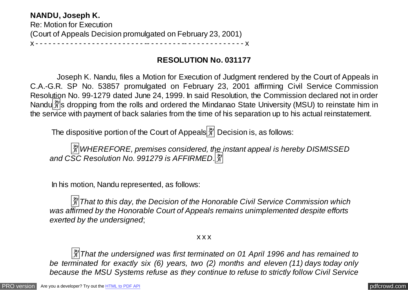**NANDU, Joseph K.** Re: Motion for Execution (Court of Appeals Decision promulgated on February 23, 2001) x - - - - - - - - - - - - - - - - - - - - - - - - - -- - - - - - - - -- - - - - - - - - - - - - - x

## **RESOLUTION No. 031177**

 Joseph K. Nandu, files a Motion for Execution of Judgment rendered by the Court of Appeals in C.A.-G.R. SP No. 53857 promulgated on February 23, 2001 affirming Civil Service Commission Resolution No. 99-1279 dated June 24, 1999. In said Resolution, the Commission declared not in order Nandu $\frac{29}{21}$ s dropping from the rolls and ordered the Mindanao State University (MSU) to reinstate him in the service with payment of back salaries from the time of his separation up to his actual reinstatement.

The dispositive portion of the Court of Appeals $\left[\frac{m}{N}\right]$  Decision is, as follows:

 �*WHEREFORE, premises considered, the instant appeal is hereby DISMISSED and CSC Resolution No. 991279 is AFFIRMED*.�

In his motion, Nandu represented, as follows:

 $\frac{3}{2}$ That to this day, the Decision of the Honorable Civil Service Commission which *was affirmed by the Honorable Court of Appeals remains unimplemented despite efforts exerted by the undersigned*;

x x x

 �*That the undersigned was first terminated on 01 April 1996 and has remained to be terminated for exactly six (6) years, two (2) months and eleven (11) days today only because the MSU Systems refuse as they continue to refuse to strictly follow Civil Service*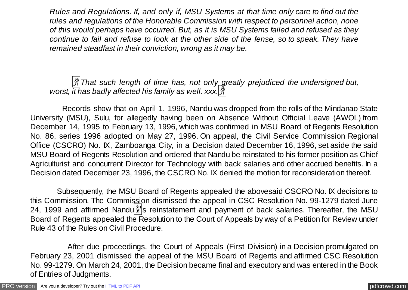*Rules and Regulations. If, and only if, MSU Systems at that time only care to find out the rules and regulations of the Honorable Commission with respect to personnel action, none of this would perhaps have occurred. But, as it is MSU Systems failed and refused as they continue to fail and refuse to look at the other side of the fense, so to speak. They have remained steadfast in their conviction, wrong as it may be.*

 �*That such length of time has, not only greatly prejudiced the undersigned but, worst, it has badly affected his family as well. xxx.* $\left|\frac{\mathfrak{F}}{\mathfrak{H}}\right|$ 

 Records show that on April 1, 1996, Nandu was dropped from the rolls of the Mindanao State University (MSU), Sulu, for allegedly having been on Absence Without Official Leave (AWOL) from December 14, 1995 to February 13, 1996, which was confirmed in MSU Board of Regents Resolution No. 86, series 1996 adopted on May 27, 1996. On appeal, the Civil Service Commission Regional Office (CSCRO) No. IX, Zamboanga City, in a Decision dated December 16, 1996, set aside the said MSU Board of Regents Resolution and ordered that Nandu be reinstated to his former position as Chief Agriculturist and concurrent Director for Technology with back salaries and other accrued benefits. In a Decision dated December 23, 1996, the CSCRO No. IX denied the motion for reconsideration thereof.

 Subsequently, the MSU Board of Regents appealed the abovesaid CSCRO No. IX decisions to this Commission. The Commission dismissed the appeal in CSC Resolution No. 99-1279 dated June 24, 1999 and affirmed Nandu $\frac{29}{35}$  reinstatement and payment of back salaries. Thereafter, the MSU Board of Regents appealed the Resolution to the Court of Appeals by way of a Petition for Review under Rule 43 of the Rules on Civil Procedure.

 After due proceedings, the Court of Appeals (First Division) in a Decision promulgated on February 23, 2001 dismissed the appeal of the MSU Board of Regents and affirmed CSC Resolution No. 99-1279. On March 24, 2001, the Decision became final and executory and was entered in the Book of Entries of Judgments.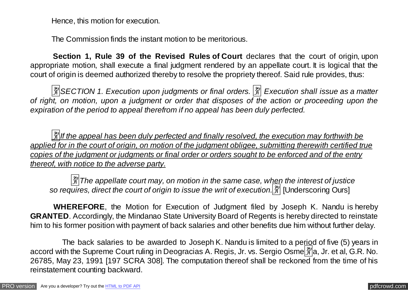Hence, this motion for execution.

The Commission finds the instant motion to be meritorious.

 **Section 1, Rule 39 of the Revised Rules of Court** declares that the court of origin, upon appropriate motion, shall execute a final judgment rendered by an appellate court. It is logical that the court of origin is deemed authorized thereby to resolve the propriety thereof. Said rule provides, thus:

 �*SECTION 1. Execution upon judgments or final orders.* � *Execution shall issue as a matter of right, on motion, upon a judgment or order that disposes of the action or proceeding upon the expiration of the period to appeal therefrom if no appeal has been duly perfected.*

 �*If the appeal has been duly perfected and finally resolved, the execution may forthwith be applied for in the court of origin, on motion of the judgment obligee, submitting therewith certified true copies of the judgment or judgments or final order or orders sought to be enforced and of the entry thereof, with notice to the adverse party.*

*[3]* The appellate court may, on motion in the same case, when the interest of justice so requires, direct the court of origin to issue the writ of execution.<sup>[37]</sup> [Underscoring Ours]

 **WHEREFORE**, the Motion for Execution of Judgment filed by Joseph K. Nandu is hereby **GRANTED**. Accordingly, the Mindanao State University Board of Regents is hereby directed to reinstate him to his former position with payment of back salaries and other benefits due him without further delay.

The back salaries to be awarded to Joseph K. Nandu is limited to a period of five (5) years in accord with the Supreme Court ruling in Deogracias A. Regis, Jr. vs. Sergio Osme  $\frac{29}{3}$ a, Jr. et al, G.R. No. 26785, May 23, 1991 [197 SCRA 308]. The computation thereof shall be reckoned from the time of his reinstatement counting backward.